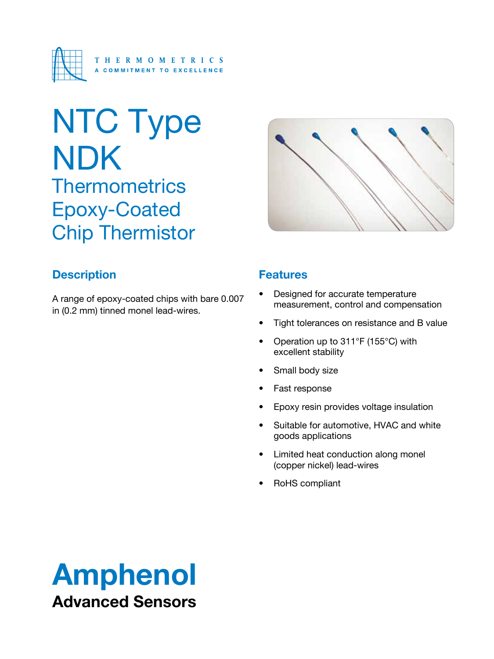

# NTC Type NDK **Thermometrics** Epoxy-Coated Chip Thermistor



# **Description**

A range of epoxy-coated chips with bare 0.007 in (0.2 mm) tinned monel lead-wires.

### **Features**

- Designed for accurate temperature measurement, control and compensation
- Tight tolerances on resistance and B value
- Operation up to 311°F (155°C) with excellent stability
- Small body size
- • Fast response
- Epoxy resin provides voltage insulation
- • Suitable for automotive, HVAC and white goods applications
- • Limited heat conduction along monel (copper nickel) lead-wires
- • RoHS compliant